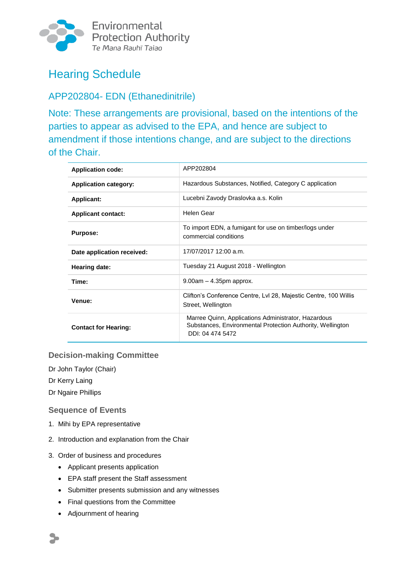

Environmental **Protection Authority** Te Mana Rauhī Taiao

# Hearing Schedule

## APP202804- EDN (Ethanedinitrile)

Note: These arrangements are provisional, based on the intentions of the parties to appear as advised to the EPA, and hence are subject to amendment if those intentions change, and are subject to the directions of the Chair.

| <b>Application code:</b>     | APP202804                                                                                                                             |  |
|------------------------------|---------------------------------------------------------------------------------------------------------------------------------------|--|
| <b>Application category:</b> | Hazardous Substances, Notified, Category C application                                                                                |  |
| <b>Applicant:</b>            | Lucebni Zavody Draslovka a.s. Kolin                                                                                                   |  |
| <b>Applicant contact:</b>    | Helen Gear                                                                                                                            |  |
| <b>Purpose:</b>              | To import EDN, a fumigant for use on timber/logs under<br>commercial conditions                                                       |  |
| Date application received:   | 17/07/2017 12:00 a.m.                                                                                                                 |  |
| Hearing date:                | Tuesday 21 August 2018 - Wellington                                                                                                   |  |
| Time:                        | $9.00am - 4.35pm$ approx.                                                                                                             |  |
| Venue:                       | Clifton's Conference Centre, Lvl 28, Majestic Centre, 100 Willis<br>Street, Wellington                                                |  |
| <b>Contact for Hearing:</b>  | Marree Quinn, Applications Administrator, Hazardous<br>Substances, Environmental Protection Authority, Wellington<br>DDI: 04 474 5472 |  |

## **Decision-making Committee**

Dr John Taylor (Chair)

Dr Kerry Laing

Dr Ngaire Phillips

#### **Sequence of Events**

- 1. Mihi by EPA representative
- 2. Introduction and explanation from the Chair
- 3. Order of business and procedures
	- Applicant presents application
	- EPA staff present the Staff assessment
	- Submitter presents submission and any witnesses
	- Final questions from the Committee
	- Adjournment of hearing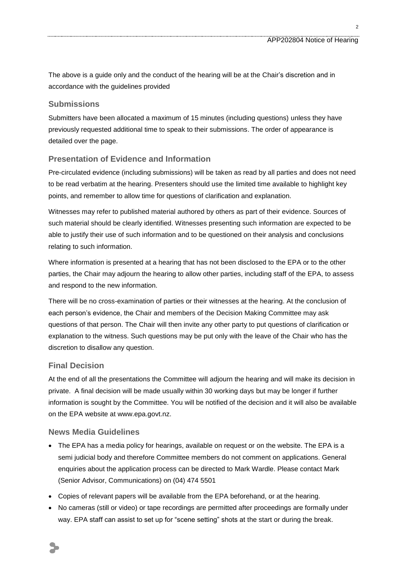The above is a guide only and the conduct of the hearing will be at the Chair's discretion and in accordance with the guidelines provided

#### **Submissions**

Submitters have been allocated a maximum of 15 minutes (including questions) unless they have previously requested additional time to speak to their submissions. The order of appearance is detailed over the page.

#### **Presentation of Evidence and Information**

Pre-circulated evidence (including submissions) will be taken as read by all parties and does not need to be read verbatim at the hearing. Presenters should use the limited time available to highlight key points, and remember to allow time for questions of clarification and explanation.

Witnesses may refer to published material authored by others as part of their evidence. Sources of such material should be clearly identified. Witnesses presenting such information are expected to be able to justify their use of such information and to be questioned on their analysis and conclusions relating to such information.

Where information is presented at a hearing that has not been disclosed to the EPA or to the other parties, the Chair may adjourn the hearing to allow other parties, including staff of the EPA, to assess and respond to the new information.

There will be no cross-examination of parties or their witnesses at the hearing. At the conclusion of each person's evidence, the Chair and members of the Decision Making Committee may ask questions of that person. The Chair will then invite any other party to put questions of clarification or explanation to the witness. Such questions may be put only with the leave of the Chair who has the discretion to disallow any question.

#### **Final Decision**

At the end of all the presentations the Committee will adjourn the hearing and will make its decision in private. A final decision will be made usually within 30 working days but may be longer if further information is sought by the Committee. You will be notified of the decision and it will also be available on the EPA website at www.epa.govt.nz.

#### **News Media Guidelines**

- The EPA has a media policy for hearings, available on request or on the website. The EPA is a semi judicial body and therefore Committee members do not comment on applications. General enquiries about the application process can be directed to Mark Wardle. Please contact Mark (Senior Advisor, Communications) on (04) 474 5501
- Copies of relevant papers will be available from the EPA beforehand, or at the hearing.
- No cameras (still or video) or tape recordings are permitted after proceedings are formally under way. EPA staff can assist to set up for "scene setting" shots at the start or during the break.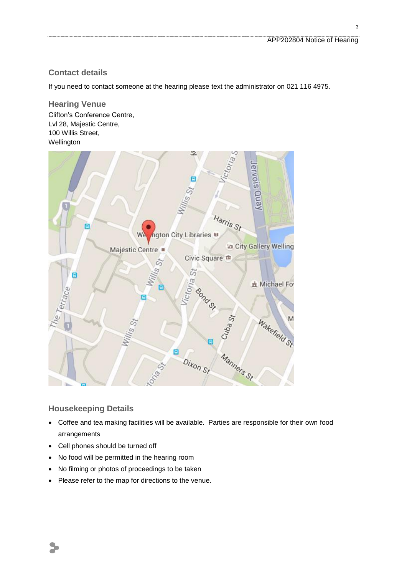## **Contact details**

If you need to contact someone at the hearing please text the administrator on 021 116 4975.

**Hearing Venue** Clifton's Conference Centre, Lvl 28, Majestic Centre, 100 Willis Street, Wellington



#### **Housekeeping Details**

 $\blacktriangleright$ 

- Coffee and tea making facilities will be available. Parties are responsible for their own food arrangements
- Cell phones should be turned off
- No food will be permitted in the hearing room
- No filming or photos of proceedings to be taken
- Please refer to the map for directions to the venue.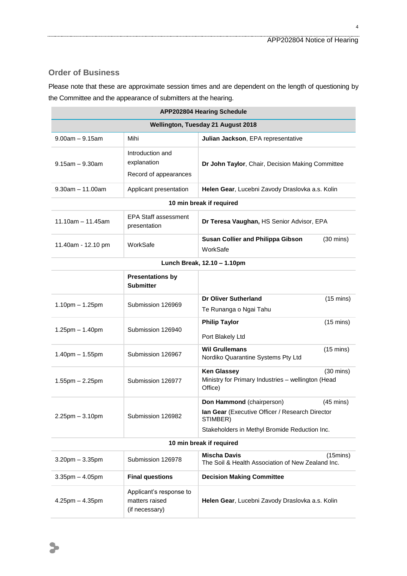## **Order of Business**

Please note that these are approximate session times and are dependent on the length of questioning by the Committee and the appearance of submitters at the hearing.

| <b>APP202804 Hearing Schedule</b>  |                                                             |                                                                                                                                                                  |  |
|------------------------------------|-------------------------------------------------------------|------------------------------------------------------------------------------------------------------------------------------------------------------------------|--|
| Wellington, Tuesday 21 August 2018 |                                                             |                                                                                                                                                                  |  |
| $9.00am - 9.15am$                  | Mihi                                                        | Julian Jackson, EPA representative                                                                                                                               |  |
| $9.15$ am $- 9.30$ am              | Introduction and<br>explanation<br>Record of appearances    | Dr John Taylor, Chair, Decision Making Committee                                                                                                                 |  |
| $9.30$ am $-11.00$ am              | Applicant presentation                                      | Helen Gear, Lucebni Zavody Draslovka a.s. Kolin                                                                                                                  |  |
| 10 min break if required           |                                                             |                                                                                                                                                                  |  |
| $11.10am - 11.45am$                | <b>EPA Staff assessment</b><br>presentation                 | Dr Teresa Vaughan, HS Senior Advisor, EPA                                                                                                                        |  |
| 11.40am - 12.10 pm                 | WorkSafe                                                    | <b>Susan Collier and Philippa Gibson</b><br>$(30 \text{ mins})$<br>WorkSafe                                                                                      |  |
| Lunch Break, 12.10 - 1.10pm        |                                                             |                                                                                                                                                                  |  |
|                                    | <b>Presentations by</b><br><b>Submitter</b>                 |                                                                                                                                                                  |  |
| $1.10$ pm $- 1.25$ pm              | Submission 126969                                           | Dr Oliver Sutherland<br>$(15 \text{ mins})$<br>Te Runanga o Ngai Tahu                                                                                            |  |
| $1.25$ pm $- 1.40$ pm              | Submission 126940                                           | <b>Philip Taylor</b><br>$(15 \text{ mins})$<br>Port Blakely Ltd                                                                                                  |  |
| $1.40$ pm $- 1.55$ pm              | Submission 126967                                           | <b>Wil Grullemans</b><br>$(15 \text{ mins})$<br>Nordiko Quarantine Systems Pty Ltd                                                                               |  |
| $1.55$ pm $- 2.25$ pm              | Submission 126977                                           | <b>Ken Glassey</b><br>$(30 \text{ mins})$<br>Ministry for Primary Industries - wellington (Head<br>Office)                                                       |  |
| $2.25$ pm $-3.10$ pm               | Submission 126982                                           | Don Hammond (chairperson)<br>$(45 \text{ mins})$<br>lan Gear (Executive Officer / Research Director<br>STIMBER)<br>Stakeholders in Methyl Bromide Reduction Inc. |  |
| 10 min break if required           |                                                             |                                                                                                                                                                  |  |
| $3.20$ pm $-3.35$ pm               | Submission 126978                                           | <b>Mischa Davis</b><br>$(15 \text{mins})$<br>The Soil & Health Association of New Zealand Inc.                                                                   |  |
| $3.35$ pm $- 4.05$ pm              | <b>Final questions</b>                                      | <b>Decision Making Committee</b>                                                                                                                                 |  |
| $4.25$ pm $- 4.35$ pm              | Applicant's response to<br>matters raised<br>(if necessary) | Helen Gear, Lucebni Zavody Draslovka a.s. Kolin                                                                                                                  |  |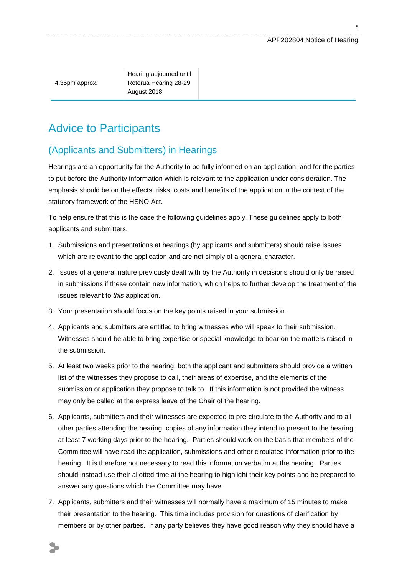5

Hearing adjourned until Rotorua Hearing 28-29 August 2018

## Advice to Participants

## (Applicants and Submitters) in Hearings

Hearings are an opportunity for the Authority to be fully informed on an application, and for the parties to put before the Authority information which is relevant to the application under consideration. The emphasis should be on the effects, risks, costs and benefits of the application in the context of the statutory framework of the HSNO Act.

To help ensure that this is the case the following guidelines apply. These guidelines apply to both applicants and submitters.

- 1. Submissions and presentations at hearings (by applicants and submitters) should raise issues which are relevant to the application and are not simply of a general character.
- 2. Issues of a general nature previously dealt with by the Authority in decisions should only be raised in submissions if these contain new information, which helps to further develop the treatment of the issues relevant to *this* application.
- 3. Your presentation should focus on the key points raised in your submission.
- 4. Applicants and submitters are entitled to bring witnesses who will speak to their submission. Witnesses should be able to bring expertise or special knowledge to bear on the matters raised in the submission.
- 5. At least two weeks prior to the hearing, both the applicant and submitters should provide a written list of the witnesses they propose to call, their areas of expertise, and the elements of the submission or application they propose to talk to. If this information is not provided the witness may only be called at the express leave of the Chair of the hearing.
- 6. Applicants, submitters and their witnesses are expected to pre-circulate to the Authority and to all other parties attending the hearing, copies of any information they intend to present to the hearing, at least 7 working days prior to the hearing. Parties should work on the basis that members of the Committee will have read the application, submissions and other circulated information prior to the hearing. It is therefore not necessary to read this information verbatim at the hearing. Parties should instead use their allotted time at the hearing to highlight their key points and be prepared to answer any questions which the Committee may have.
- 7. Applicants, submitters and their witnesses will normally have a maximum of 15 minutes to make their presentation to the hearing. This time includes provision for questions of clarification by members or by other parties. If any party believes they have good reason why they should have a